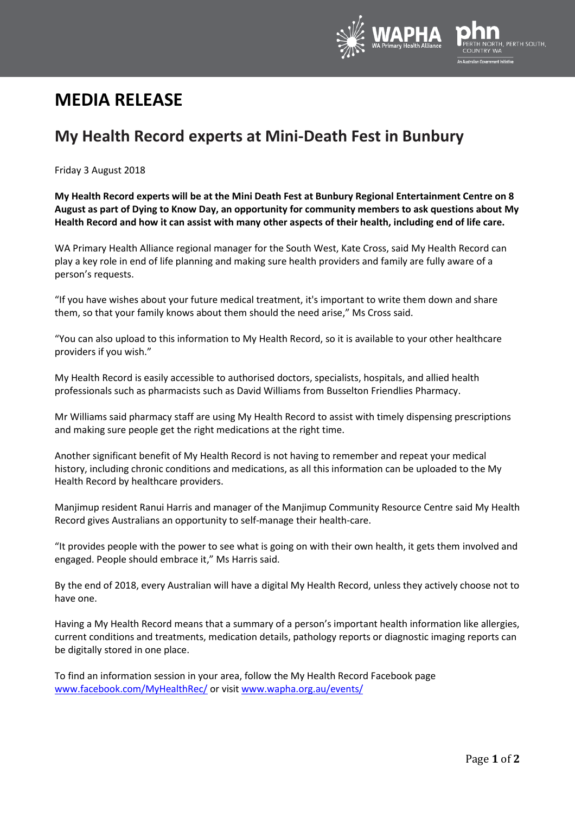

## **MEDIA RELEASE**

## **My Health Record experts at Mini-Death Fest in Bunbury**

Friday 3 August 2018

**My Health Record experts will be at the Mini Death Fest at Bunbury Regional Entertainment Centre on 8 August as part of Dying to Know Day, an opportunity for community members to ask questions about My Health Record and how it can assist with many other aspects of their health, including end of life care.**

WA Primary Health Alliance regional manager for the South West, Kate Cross, said My Health Record can play a key role in end of life planning and making sure health providers and family are fully aware of a person's requests.

"If you have wishes about your future medical treatment, it's important to write them down and share them, so that your family knows about them should the need arise," Ms Cross said.

"You can also upload to this information to My Health Record, so it is available to your other healthcare providers if you wish."

My Health Record is easily accessible to authorised doctors, specialists, hospitals, and allied health professionals such as pharmacists such as David Williams from Busselton Friendlies Pharmacy.

Mr Williams said pharmacy staff are using My Health Record to assist with timely dispensing prescriptions and making sure people get the right medications at the right time.

Another significant benefit of My Health Record is not having to remember and repeat your medical history, including chronic conditions and medications, as all this information can be uploaded to the My Health Record by healthcare providers.

Manjimup resident Ranui Harris and manager of the Manjimup Community Resource Centre said My Health Record gives Australians an opportunity to self-manage their health-care.

"It provides people with the power to see what is going on with their own health, it gets them involved and engaged. People should embrace it," Ms Harris said.

By the end of 2018, every Australian will have a digital My Health Record, unless they actively choose not to have one.

Having a My Health Record means that a summary of a person's important health information like allergies, current conditions and treatments, medication details, pathology reports or diagnostic imaging reports can be digitally stored in one place.

To find an information session in your area, follow the My Health Record Facebook page [www.facebook.com/MyHealthRec/](http://www.facebook.com/MyHealthRec/) or visit [www.wapha.org.au/events/](http://www.wapha.org.au/events/)